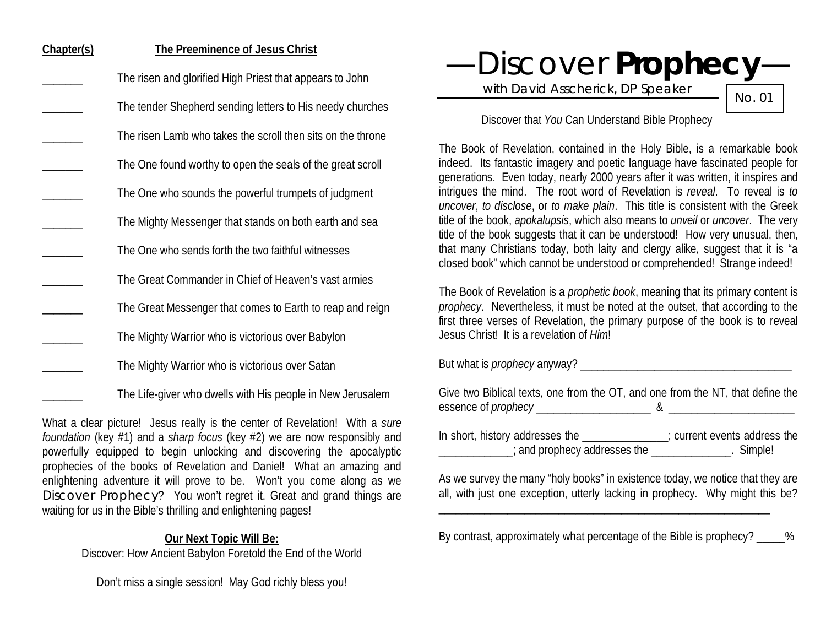# **Chapter(s) The Preeminence of Jesus Christ**

- The risen and glorified High Priest that appears to John
	- The tender Shepherd sending letters to His needy churches
	- The risen Lamb who takes the scroll then sits on the throne
- The One found worthy to open the seals of the great scroll
	- The One who sounds the powerful trumpets of judgment
		- The Mighty Messenger that stands on both earth and sea
- The One who sends forth the two faithful witnesses
	- The Great Commander in Chief of Heaven's vast armies
	- The Great Messenger that comes to Earth to reap and reign
		- The Mighty Warrior who is victorious over Babylon
			- The Mighty Warrior who is victorious over Satan
				- The Life-giver who dwells with His people in New Jerusalem

What a clear picture! Jesus really is the center of Revelation! With a *sure foundation* (key #1) and a *sharp focus* (key #2) we are now responsibly and powerfully equipped to begin unlocking and discovering the apocalyptic prophecies of the books of Revelation and Daniel! What an amazing and enlightening adventure it will prove to be. Won't you come along as we Discover Prophecy? You won't regret it. Great and grand things are waiting for us in the Bible's thrilling and enlightening pages!

#### **Our Next Topic Will Be:**

Discover: How Ancient Babylon Foretold the End of the World

Don't miss a single session! May God richly bless you!

—Discover **Prophecy**—

with David Asscherick, DP Speaker

No. 01

## Discover that *You* Can Understand Bible Prophecy

The Book of Revelation, contained in the Holy Bible, is a remarkable book indeed. Its fantastic imagery and poetic language have fascinated people for generations. Even today, nearly 2000 years after it was written, it inspires and intrigues the mind. The root word of Revelation is *reveal*. To reveal is *to uncover*, *to disclose*, or *to make plain*. This title is consistent with the Greek title of the book, *apokalupsis*, which also means to *unveil* or *uncover*. The very title of the book suggests that it can be understood! How very unusual, then, that many Christians today, both laity and clergy alike, suggest that it is "a closed book" which cannot be understood or comprehended! Strange indeed!

The Book of Revelation is a *prophetic book*, meaning that its primary content is *prophecy*. Nevertheless, it must be noted at the outset, that according to the first three verses of Revelation, the primary purpose of the book is to reveal Jesus Christ! It is a revelation of *Him*!

But what is *prophecy* anyway?

Give two Biblical texts, one from the OT, and one from the NT, that define the essence of *prophecy* \_\_\_\_\_\_\_\_\_\_\_\_\_\_\_\_\_\_\_\_ & \_\_\_\_\_\_\_\_\_\_\_\_\_\_\_\_\_\_\_\_\_\_

In short, history addresses the \_\_\_\_\_\_\_\_\_\_\_\_\_\_\_; current events address the \_\_\_\_\_\_\_\_\_\_\_\_\_; and prophecy addresses the \_\_\_\_\_\_\_\_\_\_\_\_\_\_. Simple!

As we survey the many "holy books" in existence today, we notice that they are all, with just one exception, utterly lacking in prophecy. Why might this be?

By contrast, approximately what percentage of the Bible is prophecy?  $\%$ 

\_\_\_\_\_\_\_\_\_\_\_\_\_\_\_\_\_\_\_\_\_\_\_\_\_\_\_\_\_\_\_\_\_\_\_\_\_\_\_\_\_\_\_\_\_\_\_\_\_\_\_\_\_\_\_\_\_\_